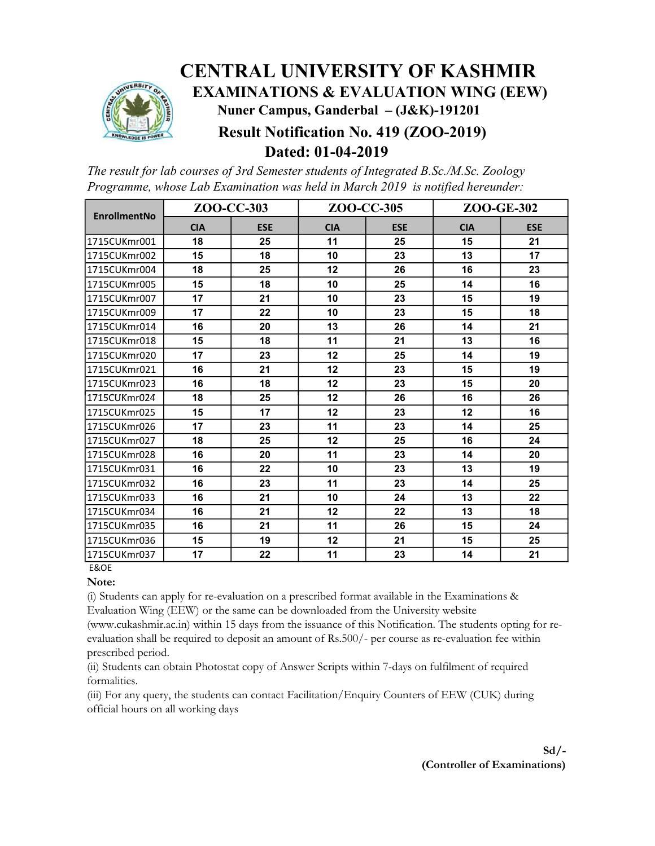

## CENTRAL UNIVERSITY OF KASHMIR EXAMINATIONS & EVALUATION WING (EEW) Nuner Campus, Ganderbal – (J&K)-191201 Result Notification No. 419 (ZOO-2019) Dated: 01-04-2019

The result for lab courses of 3rd Semester students of Integrated B.Sc./M.Sc. Zoology Programme, whose Lab Examination was held in March 2019 is notified hereunder:

| <b>EnrollmentNo</b> | ZOO-CC-303 |            | ZOO-CC-305 |            | ZOO-GE-302 |            |
|---------------------|------------|------------|------------|------------|------------|------------|
|                     | <b>CIA</b> | <b>ESE</b> | <b>CIA</b> | <b>ESE</b> | <b>CIA</b> | <b>ESE</b> |
| 1715CUKmr001        | 18         | 25         | 11         | 25         | 15         | 21         |
| 1715CUKmr002        | 15         | 18         | 10         | 23         | 13         | 17         |
| 1715CUKmr004        | 18         | 25         | 12         | 26         | 16         | 23         |
| 1715CUKmr005        | 15         | 18         | 10         | 25         | 14         | 16         |
| 1715CUKmr007        | 17         | 21         | 10         | 23         | 15         | 19         |
| 1715CUKmr009        | 17         | 22         | 10         | 23         | 15         | 18         |
| 1715CUKmr014        | 16         | 20         | 13         | 26         | 14         | 21         |
| 1715CUKmr018        | 15         | 18         | 11         | 21         | 13         | 16         |
| 1715CUKmr020        | 17         | 23         | 12         | 25         | 14         | 19         |
| 1715CUKmr021        | 16         | 21         | 12         | 23         | 15         | 19         |
| 1715CUKmr023        | 16         | 18         | 12         | 23         | 15         | 20         |
| 1715CUKmr024        | 18         | 25         | 12         | 26         | 16         | 26         |
| 1715CUKmr025        | 15         | 17         | 12         | 23         | 12         | 16         |
| 1715CUKmr026        | 17         | 23         | 11         | 23         | 14         | 25         |
| 1715CUKmr027        | 18         | 25         | 12         | 25         | 16         | 24         |
| 1715CUKmr028        | 16         | 20         | 11         | 23         | 14         | 20         |
| 1715CUKmr031        | 16         | 22         | 10         | 23         | 13         | 19         |
| 1715CUKmr032        | 16         | 23         | 11         | 23         | 14         | 25         |
| 1715CUKmr033        | 16         | 21         | 10         | 24         | 13         | 22         |
| 1715CUKmr034        | 16         | 21         | 12         | 22         | 13         | 18         |
| 1715CUKmr035        | 16         | 21         | 11         | 26         | 15         | 24         |
| 1715CUKmr036        | 15         | 19         | 12         | 21         | 15         | 25         |
| 1715CUKmr037        | 17         | 22         | 11         | 23         | 14         | 21         |
| <b>E&amp;OE</b>     |            |            |            |            |            |            |

## Note:

(i) Students can apply for re-evaluation on a prescribed format available in the Examinations & Evaluation Wing (EEW) or the same can be downloaded from the University website

(www.cukashmir.ac.in) within 15 days from the issuance of this Notification. The students opting for reevaluation shall be required to deposit an amount of Rs.500/- per course as re-evaluation fee within prescribed period.

(ii) Students can obtain Photostat copy of Answer Scripts within 7-days on fulfilment of required formalities.

(iii) For any query, the students can contact Facilitation/Enquiry Counters of EEW (CUK) during official hours on all working days